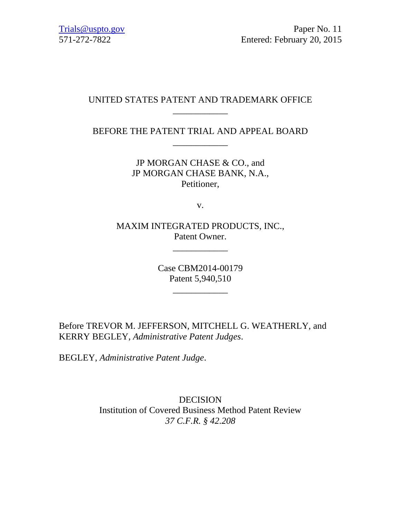# UNITED STATES PATENT AND TRADEMARK OFFICE \_\_\_\_\_\_\_\_\_\_\_\_

BEFORE THE PATENT TRIAL AND APPEAL BOARD \_\_\_\_\_\_\_\_\_\_\_\_

> JP MORGAN CHASE & CO., and JP MORGAN CHASE BANK, N.A., Petitioner,

> > v.

MAXIM INTEGRATED PRODUCTS, INC., Patent Owner.

\_\_\_\_\_\_\_\_\_\_\_\_

Case CBM2014-00179 Patent 5,940,510

\_\_\_\_\_\_\_\_\_\_\_\_

Before TREVOR M. JEFFERSON, MITCHELL G. WEATHERLY, and KERRY BEGLEY, *Administrative Patent Judges*.

BEGLEY, *Administrative Patent Judge*.

DECISION Institution of Covered Business Method Patent Review *37 C.F.R. § 42.208*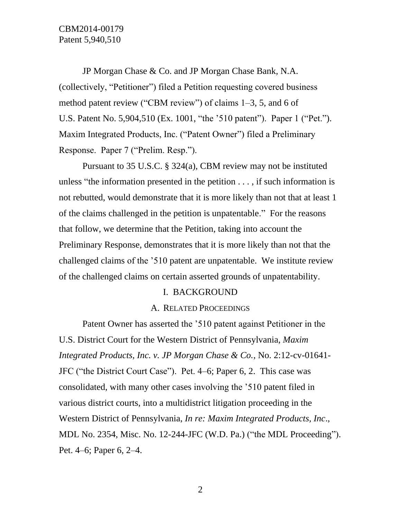JP Morgan Chase & Co. and JP Morgan Chase Bank, N.A. (collectively, "Petitioner") filed a Petition requesting covered business method patent review ("CBM review") of claims 1–3, 5, and 6 of U.S. Patent No. 5,904,510 (Ex. 1001, "the '510 patent"). Paper 1 ("Pet."). Maxim Integrated Products, Inc. ("Patent Owner") filed a Preliminary Response. Paper 7 ("Prelim. Resp.").

Pursuant to 35 U.S.C. § 324(a), CBM review may not be instituted unless "the information presented in the petition  $\dots$ , if such information is not rebutted, would demonstrate that it is more likely than not that at least 1 of the claims challenged in the petition is unpatentable." For the reasons that follow, we determine that the Petition, taking into account the Preliminary Response, demonstrates that it is more likely than not that the challenged claims of the '510 patent are unpatentable. We institute review of the challenged claims on certain asserted grounds of unpatentability.

## I. BACKGROUND

#### A. RELATED PROCEEDINGS

Patent Owner has asserted the '510 patent against Petitioner in the U.S. District Court for the Western District of Pennsylvania, *Maxim Integrated Products, Inc. v. JP Morgan Chase & Co.*, No. 2:12-cv-01641- JFC ("the District Court Case"). Pet. 4–6; Paper 6, 2. This case was consolidated, with many other cases involving the '510 patent filed in various district courts, into a multidistrict litigation proceeding in the Western District of Pennsylvania, *In re: Maxim Integrated Products, Inc*., MDL No. 2354, Misc. No. 12-244-JFC (W.D. Pa.) ("the MDL Proceeding"). Pet. 4–6; Paper 6, 2–4.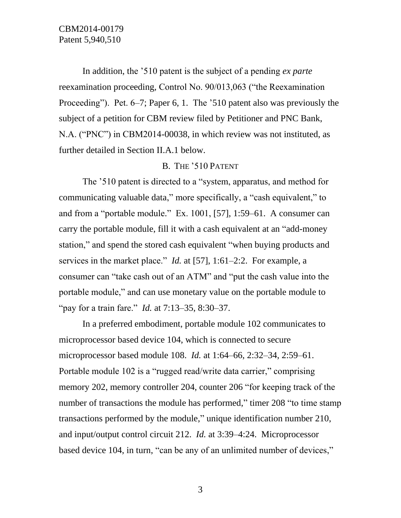In addition, the '510 patent is the subject of a pending *ex parte* reexamination proceeding, Control No. 90/013,063 ("the Reexamination Proceeding"). Pet. 6–7; Paper 6, 1. The '510 patent also was previously the subject of a petition for CBM review filed by Petitioner and PNC Bank, N.A. ("PNC") in CBM2014-00038, in which review was not instituted, as further detailed in Section II.A.1 below.

## B. THE '510 PATENT

The '510 patent is directed to a "system, apparatus, and method for communicating valuable data," more specifically, a "cash equivalent," to and from a "portable module." Ex. 1001, [57], 1:59–61. A consumer can carry the portable module, fill it with a cash equivalent at an "add-money station," and spend the stored cash equivalent "when buying products and services in the market place." *Id.* at [57], 1:61–2:2. For example, a consumer can "take cash out of an ATM" and "put the cash value into the portable module," and can use monetary value on the portable module to "pay for a train fare." *Id.* at 7:13–35, 8:30–37.

In a preferred embodiment, portable module 102 communicates to microprocessor based device 104, which is connected to secure microprocessor based module 108. *Id.* at 1:64–66, 2:32–34, 2:59–61. Portable module 102 is a "rugged read/write data carrier," comprising memory 202, memory controller 204, counter 206 "for keeping track of the number of transactions the module has performed," timer 208 "to time stamp transactions performed by the module," unique identification number 210, and input/output control circuit 212. *Id.* at 3:39–4:24. Microprocessor based device 104, in turn, "can be any of an unlimited number of devices,"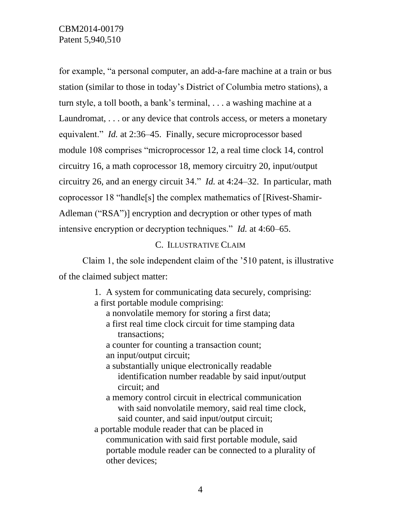for example, "a personal computer, an add-a-fare machine at a train or bus station (similar to those in today's District of Columbia metro stations), a turn style, a toll booth, a bank's terminal, . . . a washing machine at a Laundromat, . . . or any device that controls access, or meters a monetary equivalent." *Id.* at 2:36–45. Finally, secure microprocessor based module 108 comprises "microprocessor 12, a real time clock 14, control circuitry 16, a math coprocessor 18, memory circuitry 20, input/output circuitry 26, and an energy circuit 34." *Id.* at 4:24–32. In particular, math coprocessor 18 "handle[s] the complex mathematics of [Rivest-Shamir-Adleman ("RSA")] encryption and decryption or other types of math intensive encryption or decryption techniques." *Id.* at 4:60–65.

# C. ILLUSTRATIVE CLAIM

Claim 1, the sole independent claim of the '510 patent, is illustrative of the claimed subject matter:

> 1. A system for communicating data securely, comprising: a first portable module comprising:

- a nonvolatile memory for storing a first data;
- a first real time clock circuit for time stamping data transactions;
- a counter for counting a transaction count;
- an input/output circuit;
- a substantially unique electronically readable identification number readable by said input/output circuit; and
- a memory control circuit in electrical communication with said nonvolatile memory, said real time clock, said counter, and said input/output circuit;
- a portable module reader that can be placed in communication with said first portable module, said portable module reader can be connected to a plurality of other devices;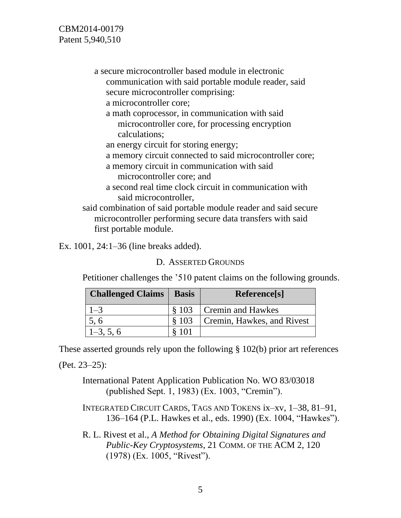CBM2014-00179 Patent 5,940,510

> a secure microcontroller based module in electronic communication with said portable module reader, said secure microcontroller comprising: a microcontroller core;

a math coprocessor, in communication with said microcontroller core, for processing encryption calculations;

an energy circuit for storing energy;

a memory circuit connected to said microcontroller core;

- a memory circuit in communication with said microcontroller core; and
- a second real time clock circuit in communication with said microcontroller,

said combination of said portable module reader and said secure microcontroller performing secure data transfers with said first portable module.

Ex. 1001, 24:1–36 (line breaks added).

D. ASSERTED GROUNDS

Petitioner challenges the '510 patent claims on the following grounds.

| <b>Challenged Claims</b> | <b>Basis</b> | Reference[s]               |
|--------------------------|--------------|----------------------------|
| $1 - 3$                  |              | § 103 Cremin and Hawkes    |
| 5, 6                     | \$103        | Cremin, Hawkes, and Rivest |
| $1-3, 5, 6$              | § 101        |                            |

These asserted grounds rely upon the following § 102(b) prior art references

(Pet. 23–25):

International Patent Application Publication No. WO 83/03018 (published Sept. 1, 1983) (Ex. 1003, "Cremin").

- INTEGRATED CIRCUIT CARDS, TAGS AND TOKENS ix–xv, 1–38, 81–91, 136–164 (P.L. Hawkes et al., eds. 1990) (Ex. 1004, "Hawkes").
- R. L. Rivest et al., *A Method for Obtaining Digital Signatures and Public-Key Cryptosystems*, 21 COMM. OF THE ACM 2, 120 (1978) (Ex. 1005, "Rivest").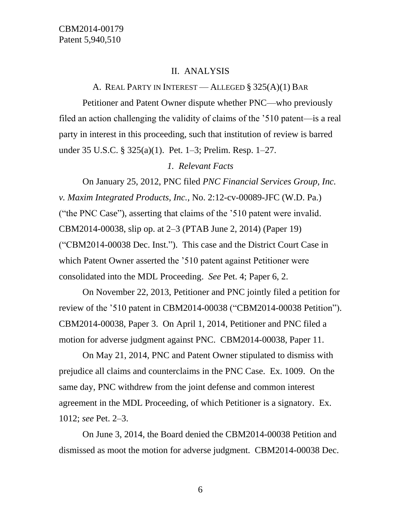#### II. ANALYSIS

### A. REAL PARTY IN INTEREST — ALLEGED § 325(A)(1) BAR

Petitioner and Patent Owner dispute whether PNC—who previously filed an action challenging the validity of claims of the '510 patent—is a real party in interest in this proceeding, such that institution of review is barred under 35 U.S.C. § 325(a)(1). Pet. 1–3; Prelim. Resp. 1–27.

### *1. Relevant Facts*

On January 25, 2012, PNC filed *PNC Financial Services Group, Inc. v. Maxim Integrated Products, Inc.*, No. 2:12-cv-00089-JFC (W.D. Pa.) ("the PNC Case"), asserting that claims of the '510 patent were invalid. CBM2014-00038, slip op. at 2–3 (PTAB June 2, 2014) (Paper 19) ("CBM2014-00038 Dec. Inst."). This case and the District Court Case in which Patent Owner asserted the '510 patent against Petitioner were consolidated into the MDL Proceeding. *See* Pet. 4; Paper 6, 2.

On November 22, 2013, Petitioner and PNC jointly filed a petition for review of the '510 patent in CBM2014-00038 ("CBM2014-00038 Petition"). CBM2014-00038, Paper 3. On April 1, 2014, Petitioner and PNC filed a motion for adverse judgment against PNC. CBM2014-00038, Paper 11.

On May 21, 2014, PNC and Patent Owner stipulated to dismiss with prejudice all claims and counterclaims in the PNC Case. Ex. 1009. On the same day, PNC withdrew from the joint defense and common interest agreement in the MDL Proceeding, of which Petitioner is a signatory. Ex. 1012; *see* Pet. 2–3.

On June 3, 2014, the Board denied the CBM2014-00038 Petition and dismissed as moot the motion for adverse judgment. CBM2014-00038 Dec.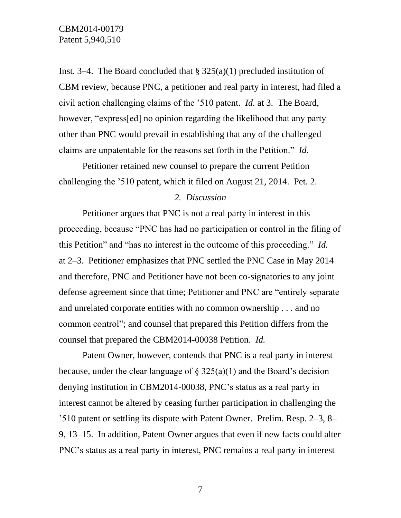Inst. 3–4. The Board concluded that  $\S 325(a)(1)$  precluded institution of CBM review, because PNC, a petitioner and real party in interest, had filed a civil action challenging claims of the '510 patent. *Id.* at 3. The Board, however, "express[ed] no opinion regarding the likelihood that any party other than PNC would prevail in establishing that any of the challenged claims are unpatentable for the reasons set forth in the Petition." *Id.* 

Petitioner retained new counsel to prepare the current Petition challenging the '510 patent, which it filed on August 21, 2014. Pet. 2.

### *2. Discussion*

Petitioner argues that PNC is not a real party in interest in this proceeding, because "PNC has had no participation or control in the filing of this Petition" and "has no interest in the outcome of this proceeding." *Id.* at 2–3. Petitioner emphasizes that PNC settled the PNC Case in May 2014 and therefore, PNC and Petitioner have not been co-signatories to any joint defense agreement since that time; Petitioner and PNC are "entirely separate and unrelated corporate entities with no common ownership . . . and no common control"; and counsel that prepared this Petition differs from the counsel that prepared the CBM2014-00038 Petition. *Id.*

Patent Owner, however, contends that PNC is a real party in interest because, under the clear language of  $\S 325(a)(1)$  and the Board's decision denying institution in CBM2014-00038, PNC's status as a real party in interest cannot be altered by ceasing further participation in challenging the '510 patent or settling its dispute with Patent Owner. Prelim. Resp. 2–3, 8– 9, 13–15. In addition, Patent Owner argues that even if new facts could alter PNC's status as a real party in interest, PNC remains a real party in interest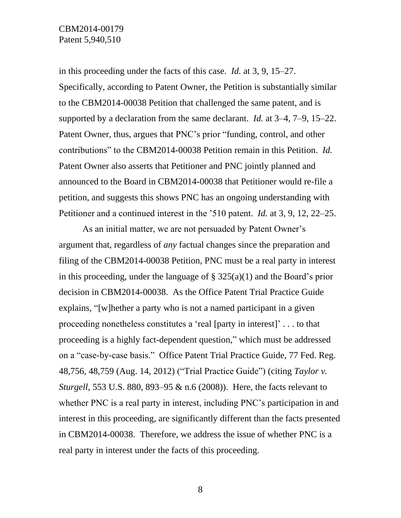in this proceeding under the facts of this case. *Id.* at 3, 9, 15–27. Specifically, according to Patent Owner, the Petition is substantially similar to the CBM2014-00038 Petition that challenged the same patent, and is supported by a declaration from the same declarant. *Id.* at 3–4, 7–9, 15–22. Patent Owner, thus, argues that PNC's prior "funding, control, and other contributions" to the CBM2014-00038 Petition remain in this Petition. *Id.* Patent Owner also asserts that Petitioner and PNC jointly planned and announced to the Board in CBM2014-00038 that Petitioner would re-file a petition, and suggests this shows PNC has an ongoing understanding with Petitioner and a continued interest in the '510 patent. *Id.* at 3, 9, 12, 22–25.

As an initial matter, we are not persuaded by Patent Owner's argument that, regardless of *any* factual changes since the preparation and filing of the CBM2014-00038 Petition, PNC must be a real party in interest in this proceeding, under the language of  $\S$  325(a)(1) and the Board's prior decision in CBM2014-00038. As the Office Patent Trial Practice Guide explains, "[w]hether a party who is not a named participant in a given proceeding nonetheless constitutes a 'real [party in interest]' . . . to that proceeding is a highly fact-dependent question," which must be addressed on a "case-by-case basis." Office Patent Trial Practice Guide, 77 Fed. Reg. 48,756, 48,759 (Aug. 14, 2012) ("Trial Practice Guide") (citing *Taylor v. Sturgell*, 553 U.S. 880, 893–95 & n.6 (2008)). Here, the facts relevant to whether PNC is a real party in interest, including PNC's participation in and interest in this proceeding, are significantly different than the facts presented in CBM2014-00038. Therefore, we address the issue of whether PNC is a real party in interest under the facts of this proceeding.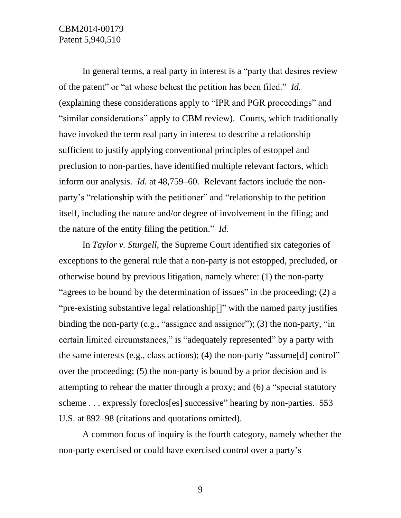In general terms, a real party in interest is a "party that desires review of the patent" or "at whose behest the petition has been filed." *Id.* (explaining these considerations apply to "IPR and PGR proceedings" and "similar considerations" apply to CBM review). Courts, which traditionally have invoked the term real party in interest to describe a relationship sufficient to justify applying conventional principles of estoppel and preclusion to non-parties, have identified multiple relevant factors, which inform our analysis. *Id.* at 48,759–60.Relevant factors include the nonparty's "relationship with the petitioner" and "relationship to the petition itself, including the nature and/or degree of involvement in the filing; and the nature of the entity filing the petition." *Id.*

In *Taylor v. Sturgell*, the Supreme Court identified six categories of exceptions to the general rule that a non-party is not estopped, precluded, or otherwise bound by previous litigation, namely where: (1) the non-party "agrees to be bound by the determination of issues" in the proceeding; (2) a "pre-existing substantive legal relationship[]" with the named party justifies binding the non-party (e.g., "assignee and assignor"); (3) the non-party, "in certain limited circumstances," is "adequately represented" by a party with the same interests (e.g., class actions); (4) the non-party "assume[d] control" over the proceeding; (5) the non-party is bound by a prior decision and is attempting to rehear the matter through a proxy; and (6) a "special statutory scheme . . . expressly foreclos[es] successive" hearing by non-parties. 553 U.S. at 892–98 (citations and quotations omitted).

A common focus of inquiry is the fourth category, namely whether the non-party exercised or could have exercised control over a party's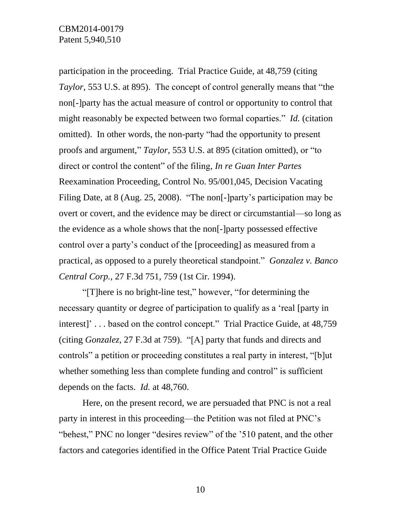participation in the proceeding. Trial Practice Guide, at 48,759 (citing *Taylor*, 553 U.S. at 895). The concept of control generally means that "the non[-]party has the actual measure of control or opportunity to control that might reasonably be expected between two formal coparties." *Id.* (citation omitted). In other words, the non-party "had the opportunity to present proofs and argument," *Taylor*, 553 U.S. at 895 (citation omitted), or "to direct or control the content" of the filing, *In re Guan Inter Partes*  Reexamination Proceeding, Control No. 95/001,045, Decision Vacating Filing Date, at 8 (Aug. 25, 2008). "The non[-]party's participation may be overt or covert, and the evidence may be direct or circumstantial—so long as the evidence as a whole shows that the non[-]party possessed effective control over a party's conduct of the [proceeding] as measured from a practical, as opposed to a purely theoretical standpoint." *Gonzalez v. Banco Central Corp.*, 27 F.3d 751, 759 (1st Cir. 1994).

"[T]here is no bright-line test," however, "for determining the necessary quantity or degree of participation to qualify as a 'real [party in interest]' . . . based on the control concept." Trial Practice Guide, at 48,759 (citing *Gonzalez*, 27 F.3d at 759). "[A] party that funds and directs and controls" a petition or proceeding constitutes a real party in interest, "[b]ut whether something less than complete funding and control" is sufficient depends on the facts. *Id.* at 48,760.

Here, on the present record, we are persuaded that PNC is not a real party in interest in this proceeding—the Petition was not filed at PNC's "behest," PNC no longer "desires review" of the '510 patent, and the other factors and categories identified in the Office Patent Trial Practice Guide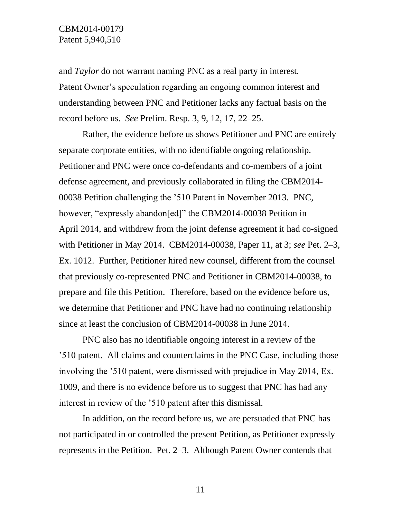and *Taylor* do not warrant naming PNC as a real party in interest. Patent Owner's speculation regarding an ongoing common interest and understanding between PNC and Petitioner lacks any factual basis on the record before us. *See* Prelim. Resp. 3, 9, 12, 17, 22–25.

Rather, the evidence before us shows Petitioner and PNC are entirely separate corporate entities, with no identifiable ongoing relationship. Petitioner and PNC were once co-defendants and co-members of a joint defense agreement, and previously collaborated in filing the CBM2014- 00038 Petition challenging the '510 Patent in November 2013. PNC, however, "expressly abandon[ed]" the CBM2014-00038 Petition in April 2014, and withdrew from the joint defense agreement it had co-signed with Petitioner in May 2014. CBM2014-00038, Paper 11, at 3; *see* Pet. 2–3, Ex. 1012. Further, Petitioner hired new counsel, different from the counsel that previously co-represented PNC and Petitioner in CBM2014-00038, to prepare and file this Petition. Therefore, based on the evidence before us, we determine that Petitioner and PNC have had no continuing relationship since at least the conclusion of CBM2014-00038 in June 2014.

PNC also has no identifiable ongoing interest in a review of the '510 patent. All claims and counterclaims in the PNC Case, including those involving the '510 patent, were dismissed with prejudice in May 2014, Ex. 1009, and there is no evidence before us to suggest that PNC has had any interest in review of the '510 patent after this dismissal.

In addition, on the record before us, we are persuaded that PNC has not participated in or controlled the present Petition, as Petitioner expressly represents in the Petition. Pet. 2–3. Although Patent Owner contends that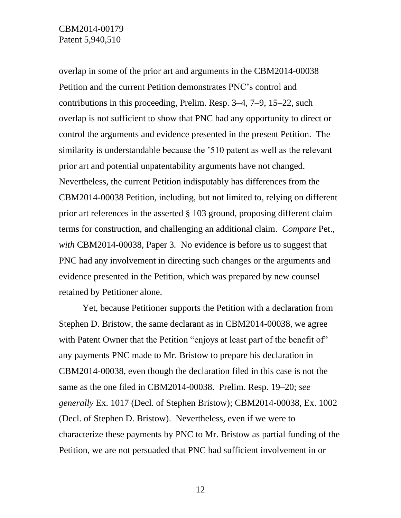overlap in some of the prior art and arguments in the CBM2014-00038 Petition and the current Petition demonstrates PNC's control and contributions in this proceeding, Prelim. Resp. 3–4, 7–9, 15–22, such overlap is not sufficient to show that PNC had any opportunity to direct or control the arguments and evidence presented in the present Petition. The similarity is understandable because the '510 patent as well as the relevant prior art and potential unpatentability arguments have not changed. Nevertheless, the current Petition indisputably has differences from the CBM2014-00038 Petition, including, but not limited to, relying on different prior art references in the asserted § 103 ground, proposing different claim terms for construction, and challenging an additional claim. *Compare* Pet., *with* CBM2014-00038, Paper 3*.* No evidence is before us to suggest that PNC had any involvement in directing such changes or the arguments and evidence presented in the Petition, which was prepared by new counsel retained by Petitioner alone.

Yet, because Petitioner supports the Petition with a declaration from Stephen D. Bristow, the same declarant as in CBM2014-00038, we agree with Patent Owner that the Petition "enjoys at least part of the benefit of" any payments PNC made to Mr. Bristow to prepare his declaration in CBM2014-00038, even though the declaration filed in this case is not the same as the one filed in CBM2014-00038. Prelim. Resp. 19–20; *see generally* Ex. 1017 (Decl. of Stephen Bristow); CBM2014-00038, Ex. 1002 (Decl. of Stephen D. Bristow). Nevertheless, even if we were to characterize these payments by PNC to Mr. Bristow as partial funding of the Petition, we are not persuaded that PNC had sufficient involvement in or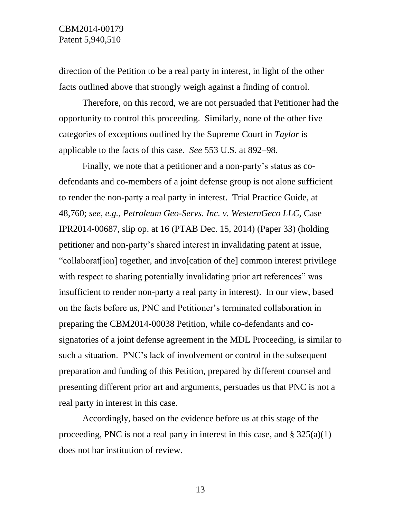direction of the Petition to be a real party in interest, in light of the other facts outlined above that strongly weigh against a finding of control.

Therefore, on this record, we are not persuaded that Petitioner had the opportunity to control this proceeding. Similarly, none of the other five categories of exceptions outlined by the Supreme Court in *Taylor* is applicable to the facts of this case. *See* 553 U.S. at 892–98.

Finally, we note that a petitioner and a non-party's status as codefendants and co-members of a joint defense group is not alone sufficient to render the non-party a real party in interest. Trial Practice Guide, at 48,760; *see*, *e.g.*, *Petroleum Geo-Servs. Inc. v. WesternGeco LLC*, Case IPR2014-00687, slip op. at 16 (PTAB Dec. 15, 2014) (Paper 33) (holding petitioner and non-party's shared interest in invalidating patent at issue, "collaborat[ion] together, and invo[cation of the] common interest privilege with respect to sharing potentially invalidating prior art references" was insufficient to render non-party a real party in interest). In our view, based on the facts before us, PNC and Petitioner's terminated collaboration in preparing the CBM2014-00038 Petition, while co-defendants and cosignatories of a joint defense agreement in the MDL Proceeding, is similar to such a situation. PNC's lack of involvement or control in the subsequent preparation and funding of this Petition, prepared by different counsel and presenting different prior art and arguments, persuades us that PNC is not a real party in interest in this case.

Accordingly, based on the evidence before us at this stage of the proceeding, PNC is not a real party in interest in this case, and  $\S 325(a)(1)$ does not bar institution of review.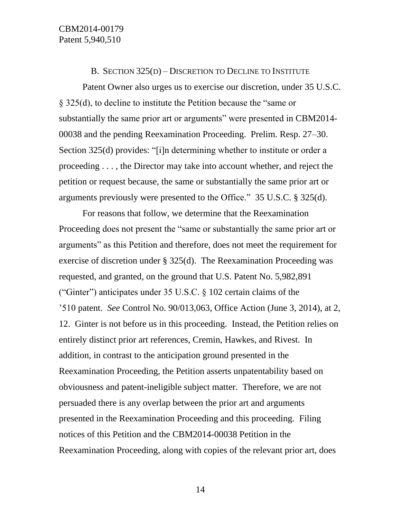#### B. SECTION 325(D) – DISCRETION TO DECLINE TO INSTITUTE

Patent Owner also urges us to exercise our discretion, under 35 U.S.C. § 325(d), to decline to institute the Petition because the "same or substantially the same prior art or arguments" were presented in CBM2014- 00038 and the pending Reexamination Proceeding. Prelim. Resp. 27–30. Section 325(d) provides: "[i]n determining whether to institute or order a proceeding . . . , the Director may take into account whether, and reject the petition or request because, the same or substantially the same prior art or arguments previously were presented to the Office." 35 U.S.C. § 325(d).

For reasons that follow, we determine that the Reexamination Proceeding does not present the "same or substantially the same prior art or arguments" as this Petition and therefore, does not meet the requirement for exercise of discretion under § 325(d). The Reexamination Proceeding was requested, and granted, on the ground that U.S. Patent No. 5,982,891 ("Ginter") anticipates under  $35 \text{ U.S.C.}$   $\S$  102 certain claims of the '510 patent. *See* Control No. 90/013,063, Office Action (June 3, 2014), at 2, 12. Ginter is not before us in this proceeding. Instead, the Petition relies on entirely distinct prior art references, Cremin, Hawkes, and Rivest. In addition, in contrast to the anticipation ground presented in the Reexamination Proceeding, the Petition asserts unpatentability based on obviousness and patent-ineligible subject matter. Therefore, we are not persuaded there is any overlap between the prior art and arguments presented in the Reexamination Proceeding and this proceeding. Filing notices of this Petition and the CBM2014-00038 Petition in the Reexamination Proceeding, along with copies of the relevant prior art, does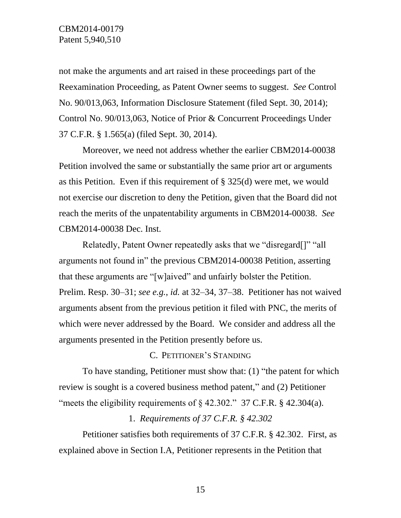not make the arguments and art raised in these proceedings part of the Reexamination Proceeding, as Patent Owner seems to suggest. *See* Control No. 90/013,063, Information Disclosure Statement (filed Sept. 30, 2014); Control No. 90/013,063, Notice of Prior & Concurrent Proceedings Under 37 C.F.R. § 1.565(a) (filed Sept. 30, 2014).

Moreover, we need not address whether the earlier CBM2014-00038 Petition involved the same or substantially the same prior art or arguments as this Petition. Even if this requirement of § 325(d) were met, we would not exercise our discretion to deny the Petition, given that the Board did not reach the merits of the unpatentability arguments in CBM2014-00038. *See* CBM2014-00038 Dec. Inst.

Relatedly, Patent Owner repeatedly asks that we "disregard[]" "all arguments not found in" the previous CBM2014-00038 Petition, asserting that these arguments are "[w]aived" and unfairly bolster the Petition. Prelim. Resp. 30–31; *see e.g.*, *id.* at 32–34, 37–38. Petitioner has not waived arguments absent from the previous petition it filed with PNC, the merits of which were never addressed by the Board. We consider and address all the arguments presented in the Petition presently before us.

## C. PETITIONER'S STANDING

To have standing, Petitioner must show that: (1) "the patent for which review is sought is a covered business method patent," and (2) Petitioner "meets the eligibility requirements of  $\frac{1}{2}$  42.302." 37 C.F.R.  $\frac{1}{2}$  42.304(a).

## 1. *Requirements of 37 C.F.R. § 42.302*

Petitioner satisfies both requirements of 37 C.F.R. § 42.302. First, as explained above in Section I.A, Petitioner represents in the Petition that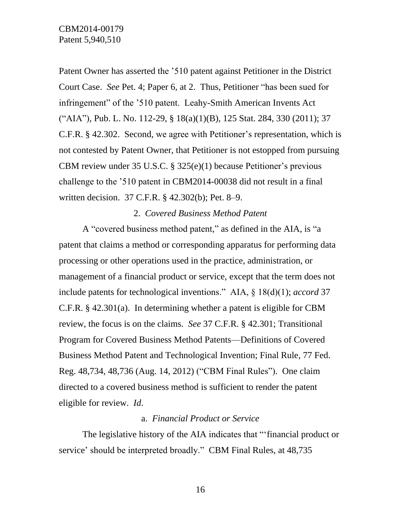Patent Owner has asserted the '510 patent against Petitioner in the District Court Case. *See* Pet. 4; Paper 6, at 2. Thus, Petitioner "has been sued for infringement" of the '510 patent. Leahy-Smith American Invents Act ("AIA"), Pub. L. No. 112-29, § 18(a)(1)(B), 125 Stat. 284, 330 (2011); 37 C.F.R. § 42.302. Second, we agree with Petitioner's representation, which is not contested by Patent Owner, that Petitioner is not estopped from pursuing CBM review under 35 U.S.C. § 325(e)(1) because Petitioner's previous challenge to the '510 patent in CBM2014-00038 did not result in a final written decision. 37 C.F.R. § 42.302(b); Pet. 8–9.

## 2. *Covered Business Method Patent*

A "covered business method patent," as defined in the AIA, is "a patent that claims a method or corresponding apparatus for performing data processing or other operations used in the practice, administration, or management of a financial product or service, except that the term does not include patents for technological inventions." AIA, § 18(d)(1); *accord* 37 C.F.R. § 42.301(a). In determining whether a patent is eligible for CBM review, the focus is on the claims. *See* 37 C.F.R. § 42.301; Transitional Program for Covered Business Method Patents—Definitions of Covered Business Method Patent and Technological Invention; Final Rule, 77 Fed. Reg. 48,734, 48,736 (Aug. 14, 2012) ("CBM Final Rules"). One claim directed to a covered business method is sufficient to render the patent eligible for review. *Id*.

## a. *Financial Product or Service*

The legislative history of the AIA indicates that "'financial product or service' should be interpreted broadly." CBM Final Rules, at 48,735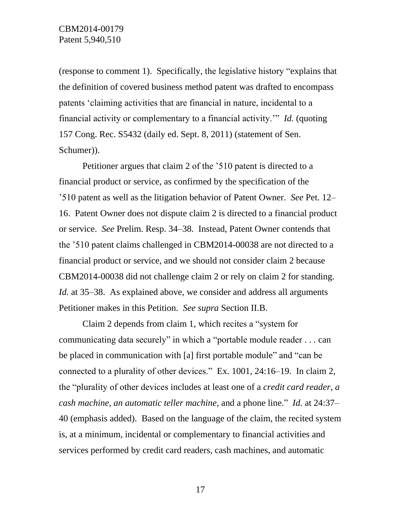(response to comment 1). Specifically, the legislative history "explains that the definition of covered business method patent was drafted to encompass patents 'claiming activities that are financial in nature, incidental to a financial activity or complementary to a financial activity.'" *Id.* (quoting 157 Cong. Rec. S5432 (daily ed. Sept. 8, 2011) (statement of Sen. Schumer)).

Petitioner argues that claim 2 of the '510 patent is directed to a financial product or service, as confirmed by the specification of the '510 patent as well as the litigation behavior of Patent Owner. *See* Pet. 12– 16. Patent Owner does not dispute claim 2 is directed to a financial product or service. *See* Prelim. Resp. 34–38. Instead, Patent Owner contends that the '510 patent claims challenged in CBM2014-00038 are not directed to a financial product or service, and we should not consider claim 2 because CBM2014-00038 did not challenge claim 2 or rely on claim 2 for standing. *Id.* at 35–38. As explained above, we consider and address all arguments Petitioner makes in this Petition. *See supra* Section II.B.

Claim 2 depends from claim 1, which recites a "system for communicating data securely" in which a "portable module reader . . . can be placed in communication with [a] first portable module" and "can be connected to a plurality of other devices." Ex. 1001, 24:16–19. In claim 2, the "plurality of other devices includes at least one of a *credit card reader, a cash machine, an automatic teller machine*, and a phone line." *Id.* at 24:37– 40 (emphasis added). Based on the language of the claim, the recited system is, at a minimum, incidental or complementary to financial activities and services performed by credit card readers, cash machines, and automatic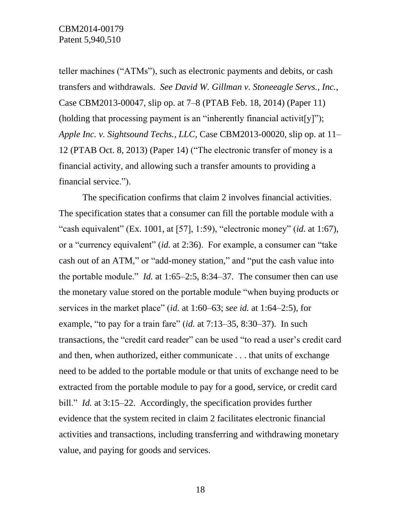teller machines ("ATMs"), such as electronic payments and debits, or cash transfers and withdrawals. *See David W. Gillman v. Stoneeagle Servs., Inc.*, Case CBM2013-00047, slip op. at 7–8 (PTAB Feb. 18, 2014) (Paper 11) (holding that processing payment is an "inherently financial activit[y]"); *Apple Inc. v. Sightsound Techs., LLC*, Case CBM2013-00020, slip op. at 11– 12 (PTAB Oct. 8, 2013) (Paper 14) ("The electronic transfer of money is a financial activity, and allowing such a transfer amounts to providing a financial service.").

The specification confirms that claim 2 involves financial activities. The specification states that a consumer can fill the portable module with a "cash equivalent" (Ex. 1001, at [57], 1:59), "electronic money" (*id.* at 1:67), or a "currency equivalent" (*id.* at 2:36). For example, a consumer can "take cash out of an ATM," or "add-money station," and "put the cash value into the portable module." *Id.* at 1:65–2:5, 8:34–37. The consumer then can use the monetary value stored on the portable module "when buying products or services in the market place" (*id.* at 1:60–63; *see id.* at 1:64–2:5), for example, "to pay for a train fare" (*id.* at 7:13–35, 8:30–37). In such transactions, the "credit card reader" can be used "to read a user's credit card and then, when authorized, either communicate . . . that units of exchange need to be added to the portable module or that units of exchange need to be extracted from the portable module to pay for a good, service, or credit card bill." *Id.* at 3:15–22. Accordingly, the specification provides further evidence that the system recited in claim 2 facilitates electronic financial activities and transactions, including transferring and withdrawing monetary value, and paying for goods and services.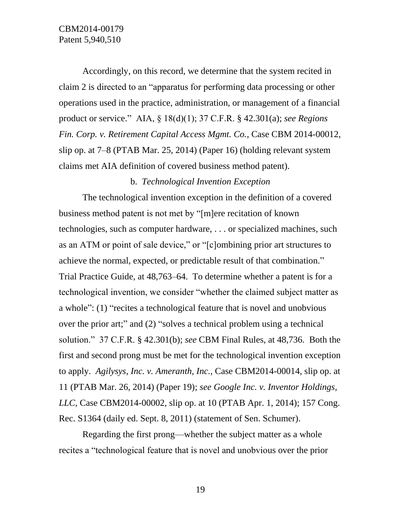Accordingly, on this record, we determine that the system recited in claim 2 is directed to an "apparatus for performing data processing or other operations used in the practice, administration, or management of a financial product or service." AIA, § 18(d)(1); 37 C.F.R. § 42.301(a); *see Regions Fin. Corp. v. Retirement Capital Access Mgmt. Co.*, Case CBM 2014-00012, slip op. at 7–8 (PTAB Mar. 25, 2014) (Paper 16) (holding relevant system claims met AIA definition of covered business method patent).

## b. *Technological Invention Exception*

The technological invention exception in the definition of a covered business method patent is not met by "[m]ere recitation of known technologies, such as computer hardware, . . . or specialized machines, such as an ATM or point of sale device," or "[c]ombining prior art structures to achieve the normal, expected, or predictable result of that combination." Trial Practice Guide, at 48,763–64. To determine whether a patent is for a technological invention, we consider "whether the claimed subject matter as a whole": (1) "recites a technological feature that is novel and unobvious over the prior art;" and (2) "solves a technical problem using a technical solution." 37 C.F.R. § 42.301(b); *see* CBM Final Rules, at 48,736. Both the first and second prong must be met for the technological invention exception to apply. *Agilysys, Inc. v. Ameranth, Inc.*, Case CBM2014-00014, slip op. at 11 (PTAB Mar. 26, 2014) (Paper 19); *see Google Inc. v. Inventor Holdings, LLC*, Case CBM2014-00002, slip op. at 10 (PTAB Apr. 1, 2014); 157 Cong. Rec. S1364 (daily ed. Sept. 8, 2011) (statement of Sen. Schumer).

Regarding the first prong—whether the subject matter as a whole recites a "technological feature that is novel and unobvious over the prior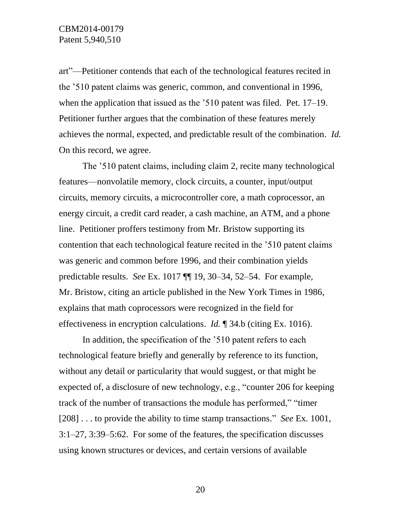art"—Petitioner contends that each of the technological features recited in the '510 patent claims was generic, common, and conventional in 1996, when the application that issued as the '510 patent was filed. Pet. 17–19. Petitioner further argues that the combination of these features merely achieves the normal, expected, and predictable result of the combination. *Id.* On this record, we agree.

The '510 patent claims, including claim 2, recite many technological features—nonvolatile memory, clock circuits, a counter, input/output circuits, memory circuits, a microcontroller core, a math coprocessor, an energy circuit, a credit card reader, a cash machine, an ATM, and a phone line. Petitioner proffers testimony from Mr. Bristow supporting its contention that each technological feature recited in the '510 patent claims was generic and common before 1996, and their combination yields predictable results. *See* Ex. 1017 ¶¶ 19, 30–34, 52–54. For example, Mr. Bristow, citing an article published in the New York Times in 1986, explains that math coprocessors were recognized in the field for effectiveness in encryption calculations. *Id.* ¶ 34.b (citing Ex. 1016).

In addition, the specification of the '510 patent refers to each technological feature briefly and generally by reference to its function, without any detail or particularity that would suggest, or that might be expected of, a disclosure of new technology, e.g., "counter 206 for keeping track of the number of transactions the module has performed," "timer [208] . . . to provide the ability to time stamp transactions." *See* Ex. 1001, 3:1–27, 3:39–5:62. For some of the features, the specification discusses using known structures or devices, and certain versions of available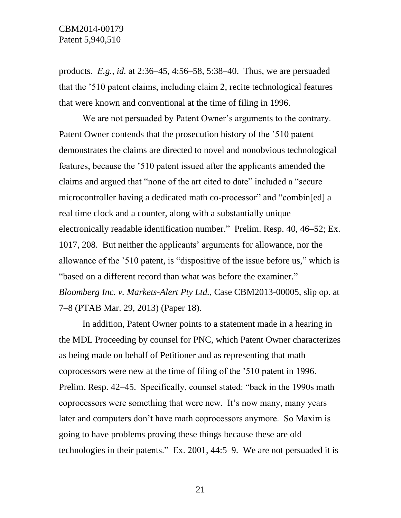products. *E.g.*, *id.* at 2:36–45, 4:56–58, 5:38–40. Thus, we are persuaded that the '510 patent claims, including claim 2, recite technological features that were known and conventional at the time of filing in 1996.

We are not persuaded by Patent Owner's arguments to the contrary. Patent Owner contends that the prosecution history of the '510 patent demonstrates the claims are directed to novel and nonobvious technological features, because the '510 patent issued after the applicants amended the claims and argued that "none of the art cited to date" included a "secure microcontroller having a dedicated math co-processor" and "combin[ed] a real time clock and a counter, along with a substantially unique electronically readable identification number." Prelim. Resp. 40, 46–52; Ex. 1017, 208. But neither the applicants' arguments for allowance, nor the allowance of the '510 patent, is "dispositive of the issue before us," which is "based on a different record than what was before the examiner." *Bloomberg Inc. v. Markets-Alert Pty Ltd.*, Case CBM2013-00005, slip op. at 7–8 (PTAB Mar. 29, 2013) (Paper 18).

In addition, Patent Owner points to a statement made in a hearing in the MDL Proceeding by counsel for PNC, which Patent Owner characterizes as being made on behalf of Petitioner and as representing that math coprocessors were new at the time of filing of the '510 patent in 1996. Prelim. Resp. 42–45.Specifically, counsel stated: "back in the 1990s math coprocessors were something that were new. It's now many, many years later and computers don't have math coprocessors anymore. So Maxim is going to have problems proving these things because these are old technologies in their patents." Ex. 2001, 44:5–9. We are not persuaded it is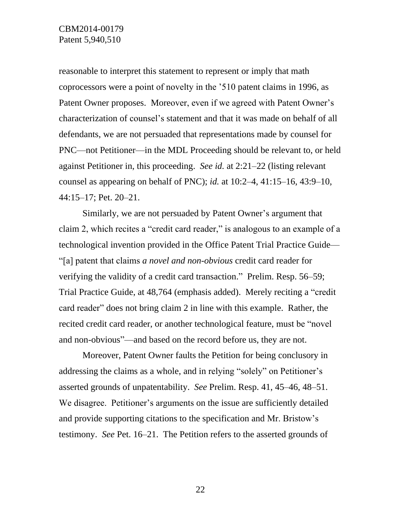reasonable to interpret this statement to represent or imply that math coprocessors were a point of novelty in the '510 patent claims in 1996, as Patent Owner proposes. Moreover, even if we agreed with Patent Owner's characterization of counsel's statement and that it was made on behalf of all defendants, we are not persuaded that representations made by counsel for PNC—not Petitioner—in the MDL Proceeding should be relevant to, or held against Petitioner in, this proceeding. *See id.* at 2:21–22 (listing relevant counsel as appearing on behalf of PNC); *id.* at 10:2–4, 41:15–16, 43:9–10, 44:15–17; Pet. 20–21.

Similarly, we are not persuaded by Patent Owner's argument that claim 2, which recites a "credit card reader," is analogous to an example of a technological invention provided in the Office Patent Trial Practice Guide— "[a] patent that claims *a novel and non-obvious* credit card reader for verifying the validity of a credit card transaction." Prelim. Resp. 56–59; Trial Practice Guide, at 48,764 (emphasis added). Merely reciting a "credit card reader" does not bring claim 2 in line with this example. Rather, the recited credit card reader, or another technological feature, must be "novel and non-obvious"—and based on the record before us, they are not.

Moreover, Patent Owner faults the Petition for being conclusory in addressing the claims as a whole, and in relying "solely" on Petitioner's asserted grounds of unpatentability. *See* Prelim. Resp. 41, 45–46, 48–51. We disagree. Petitioner's arguments on the issue are sufficiently detailed and provide supporting citations to the specification and Mr. Bristow's testimony. *See* Pet. 16–21. The Petition refers to the asserted grounds of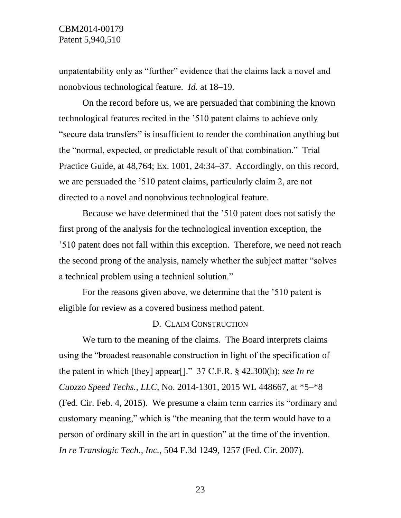unpatentability only as "further" evidence that the claims lack a novel and nonobvious technological feature. *Id.* at 18–19.

On the record before us, we are persuaded that combining the known technological features recited in the '510 patent claims to achieve only "secure data transfers" is insufficient to render the combination anything but the "normal, expected, or predictable result of that combination." Trial Practice Guide, at 48,764; Ex. 1001, 24:34–37. Accordingly, on this record, we are persuaded the '510 patent claims, particularly claim 2, are not directed to a novel and nonobvious technological feature.

Because we have determined that the '510 patent does not satisfy the first prong of the analysis for the technological invention exception, the '510 patent does not fall within this exception. Therefore, we need not reach the second prong of the analysis, namely whether the subject matter "solves a technical problem using a technical solution."

For the reasons given above, we determine that the '510 patent is eligible for review as a covered business method patent.

### D. CLAIM CONSTRUCTION

We turn to the meaning of the claims. The Board interprets claims using the "broadest reasonable construction in light of the specification of the patent in which [they] appear[]." 37 C.F.R. § 42.300(b); *see In re Cuozzo Speed Techs., LLC*, No. 2014-1301, 2015 WL 448667, at \*5–\*8 (Fed. Cir. Feb. 4, 2015). We presume a claim term carries its "ordinary and customary meaning," which is "the meaning that the term would have to a person of ordinary skill in the art in question" at the time of the invention. *In re Translogic Tech., Inc.*, 504 F.3d 1249, 1257 (Fed. Cir. 2007).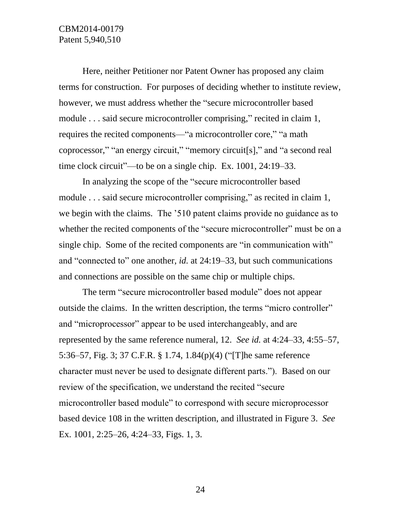Here, neither Petitioner nor Patent Owner has proposed any claim terms for construction. For purposes of deciding whether to institute review, however, we must address whether the "secure microcontroller based module . . . said secure microcontroller comprising," recited in claim 1, requires the recited components—"a microcontroller core," "a math coprocessor," "an energy circuit," "memory circuit[s]," and "a second real time clock circuit"—to be on a single chip. Ex. 1001, 24:19–33.

In analyzing the scope of the "secure microcontroller based module ... said secure microcontroller comprising," as recited in claim 1, we begin with the claims. The '510 patent claims provide no guidance as to whether the recited components of the "secure microcontroller" must be on a single chip. Some of the recited components are "in communication with" and "connected to" one another, *id.* at 24:19–33, but such communications and connections are possible on the same chip or multiple chips.

The term "secure microcontroller based module" does not appear outside the claims. In the written description, the terms "micro controller" and "microprocessor" appear to be used interchangeably, and are represented by the same reference numeral, 12. *See id.* at 4:24–33, 4:55–57, 5:36–57, Fig. 3; 37 C.F.R. § 1.74, 1.84(p)(4) ("[T]he same reference character must never be used to designate different parts."). Based on our review of the specification, we understand the recited "secure microcontroller based module" to correspond with secure microprocessor based device 108 in the written description, and illustrated in Figure 3. *See*  Ex. 1001, 2:25–26, 4:24–33, Figs. 1, 3.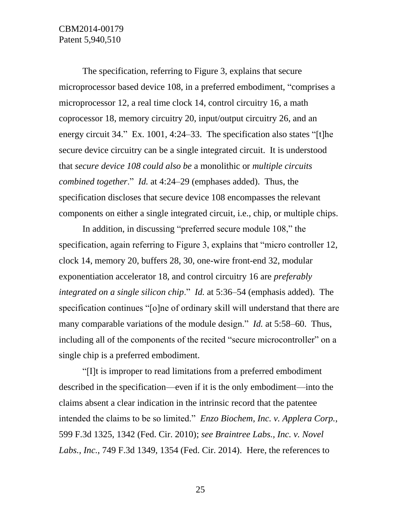The specification, referring to Figure 3, explains that secure microprocessor based device 108, in a preferred embodiment, "comprises a microprocessor 12, a real time clock 14, control circuitry 16, a math coprocessor 18, memory circuitry 20, input/output circuitry 26, and an energy circuit 34." Ex. 1001, 4:24–33. The specification also states "[t]he secure device circuitry can be a single integrated circuit. It is understood that *secure device 108 could also be* a monolithic or *multiple circuits combined together*." *Id.* at 4:24–29 (emphases added). Thus, the specification discloses that secure device 108 encompasses the relevant components on either a single integrated circuit, i.e., chip, or multiple chips.

In addition, in discussing "preferred secure module 108," the specification, again referring to Figure 3, explains that "micro controller 12, clock 14, memory 20, buffers 28, 30, one-wire front-end 32, modular exponentiation accelerator 18, and control circuitry 16 are *preferably integrated on a single silicon chip*." *Id.* at 5:36–54 (emphasis added). The specification continues "[o]ne of ordinary skill will understand that there are many comparable variations of the module design." *Id.* at 5:58–60. Thus, including all of the components of the recited "secure microcontroller" on a single chip is a preferred embodiment.

"[I]t is improper to read limitations from a preferred embodiment described in the specification—even if it is the only embodiment—into the claims absent a clear indication in the intrinsic record that the patentee intended the claims to be so limited." *Enzo Biochem, Inc. v. Applera Corp.*, 599 F.3d 1325, 1342 (Fed. Cir. 2010); *see Braintree Labs., Inc. v. Novel Labs., Inc.*, 749 F.3d 1349, 1354 (Fed. Cir. 2014). Here, the references to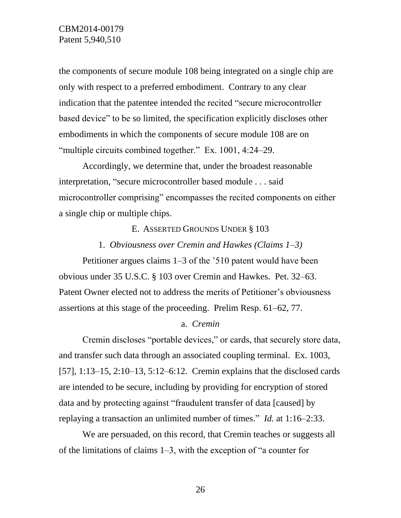the components of secure module 108 being integrated on a single chip are only with respect to a preferred embodiment. Contrary to any clear indication that the patentee intended the recited "secure microcontroller based device" to be so limited, the specification explicitly discloses other embodiments in which the components of secure module 108 are on "multiple circuits combined together." Ex. 1001, 4:24–29.

Accordingly, we determine that, under the broadest reasonable interpretation, "secure microcontroller based module . . . said microcontroller comprising" encompasses the recited components on either a single chip or multiple chips.

### E. ASSERTED GROUNDS UNDER § 103

### 1. *Obviousness over Cremin and Hawkes (Claims 1–3)*

Petitioner argues claims 1–3 of the '510 patent would have been obvious under 35 U.S.C. § 103 over Cremin and Hawkes. Pet. 32–63. Patent Owner elected not to address the merits of Petitioner's obviousness assertions at this stage of the proceeding. Prelim Resp. 61–62, 77.

## a. *Cremin*

Cremin discloses "portable devices," or cards, that securely store data, and transfer such data through an associated coupling terminal. Ex. 1003, [57], 1:13–15, 2:10–13, 5:12–6:12. Cremin explains that the disclosed cards are intended to be secure, including by providing for encryption of stored data and by protecting against "fraudulent transfer of data [caused] by replaying a transaction an unlimited number of times." *Id.* at 1:16–2:33.

We are persuaded, on this record, that Cremin teaches or suggests all of the limitations of claims 1–3, with the exception of "a counter for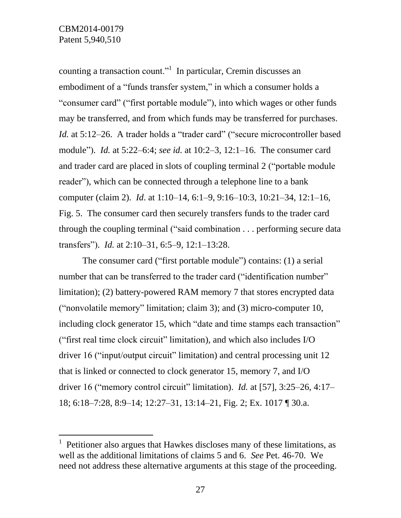l

counting a transaction count."<sup>1</sup> In particular, Cremin discusses an embodiment of a "funds transfer system," in which a consumer holds a "consumer card" ("first portable module"), into which wages or other funds may be transferred, and from which funds may be transferred for purchases. *Id.* at 5:12–26. A trader holds a "trader card" ("secure microcontroller based module"). *Id.* at 5:22–6:4; *see id.* at 10:2–3, 12:1–16. The consumer card and trader card are placed in slots of coupling terminal 2 ("portable module reader"), which can be connected through a telephone line to a bank computer (claim 2). *Id*. at 1:10–14, 6:1–9, 9:16–10:3, 10:21–34, 12:1–16, Fig. 5. The consumer card then securely transfers funds to the trader card through the coupling terminal ("said combination . . . performing secure data transfers"). *Id.* at 2:10–31, 6:5–9, 12:1–13:28.

The consumer card ("first portable module") contains: (1) a serial number that can be transferred to the trader card ("identification number" limitation); (2) battery-powered RAM memory 7 that stores encrypted data ("nonvolatile memory" limitation; claim 3); and (3) micro-computer 10, including clock generator 15, which "date and time stamps each transaction" ("first real time clock circuit" limitation), and which also includes I/O driver 16 ("input/output circuit" limitation) and central processing unit 12 that is linked or connected to clock generator 15, memory 7, and I/O driver 16 ("memory control circuit" limitation). *Id.* at [57], 3:25–26, 4:17– 18; 6:18–7:28, 8:9–14; 12:27–31, 13:14–21, Fig. 2; Ex. 1017 ¶ 30.a.

<sup>1</sup> Petitioner also argues that Hawkes discloses many of these limitations, as well as the additional limitations of claims 5 and 6. *See* Pet. 46-70. We need not address these alternative arguments at this stage of the proceeding.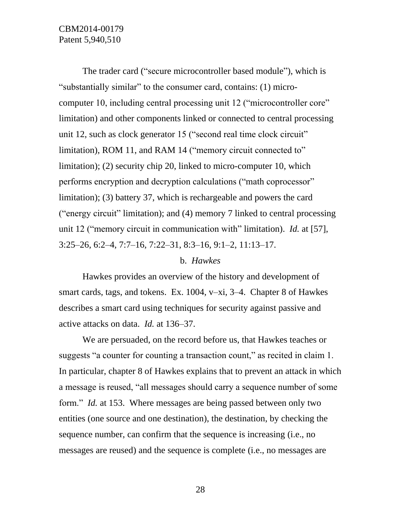# CBM2014-00179 Patent 5,940,510

The trader card ("secure microcontroller based module"), which is "substantially similar" to the consumer card, contains: (1) microcomputer 10, including central processing unit 12 ("microcontroller core" limitation) and other components linked or connected to central processing unit 12, such as clock generator 15 ("second real time clock circuit" limitation), ROM 11, and RAM 14 ("memory circuit connected to" limitation); (2) security chip 20, linked to micro-computer 10, which performs encryption and decryption calculations ("math coprocessor" limitation); (3) battery 37, which is rechargeable and powers the card ("energy circuit" limitation); and (4) memory 7 linked to central processing unit 12 ("memory circuit in communication with" limitation). *Id.* at [57], 3:25–26, 6:2–4, 7:7–16, 7:22–31, 8:3–16, 9:1–2, 11:13–17.

### b. *Hawkes*

Hawkes provides an overview of the history and development of smart cards, tags, and tokens. Ex. 1004, v–xi, 3–4. Chapter 8 of Hawkes describes a smart card using techniques for security against passive and active attacks on data. *Id.* at 136–37.

We are persuaded, on the record before us, that Hawkes teaches or suggests "a counter for counting a transaction count," as recited in claim 1. In particular, chapter 8 of Hawkes explains that to prevent an attack in which a message is reused, "all messages should carry a sequence number of some form." *Id.* at 153. Where messages are being passed between only two entities (one source and one destination), the destination, by checking the sequence number, can confirm that the sequence is increasing (i.e., no messages are reused) and the sequence is complete (i.e., no messages are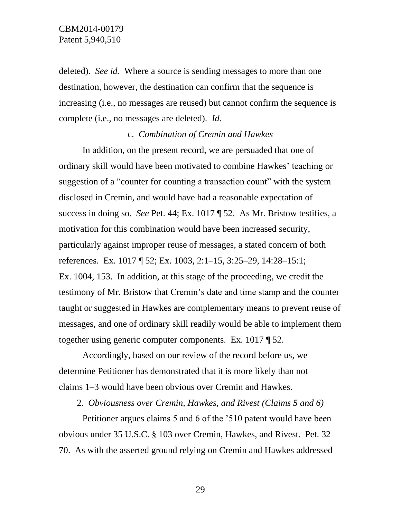deleted). *See id.* Where a source is sending messages to more than one destination, however, the destination can confirm that the sequence is increasing (i.e., no messages are reused) but cannot confirm the sequence is complete (i.e., no messages are deleted). *Id.* 

## c. *Combination of Cremin and Hawkes*

In addition, on the present record, we are persuaded that one of ordinary skill would have been motivated to combine Hawkes' teaching or suggestion of a "counter for counting a transaction count" with the system disclosed in Cremin, and would have had a reasonable expectation of success in doing so. *See* Pet. 44; Ex. 1017 ¶ 52. As Mr. Bristow testifies, a motivation for this combination would have been increased security, particularly against improper reuse of messages, a stated concern of both references. Ex. 1017 ¶ 52; Ex. 1003, 2:1–15, 3:25–29, 14:28–15:1; Ex. 1004, 153. In addition, at this stage of the proceeding, we credit the testimony of Mr. Bristow that Cremin's date and time stamp and the counter taught or suggested in Hawkes are complementary means to prevent reuse of messages, and one of ordinary skill readily would be able to implement them together using generic computer components. Ex. 1017 ¶ 52.

Accordingly, based on our review of the record before us, we determine Petitioner has demonstrated that it is more likely than not claims 1–3 would have been obvious over Cremin and Hawkes.

2. *Obviousness over Cremin, Hawkes, and Rivest (Claims 5 and 6)*

Petitioner argues claims 5 and 6 of the '510 patent would have been obvious under 35 U.S.C. § 103 over Cremin, Hawkes, and Rivest. Pet. 32– 70. As with the asserted ground relying on Cremin and Hawkes addressed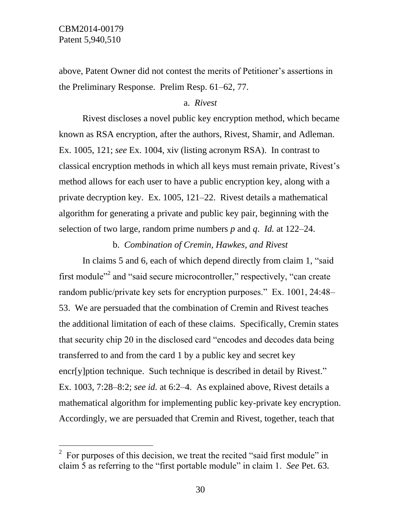$\overline{a}$ 

above, Patent Owner did not contest the merits of Petitioner's assertions in the Preliminary Response. Prelim Resp. 61–62, 77.

## a. *Rivest*

Rivest discloses a novel public key encryption method, which became known as RSA encryption, after the authors, Rivest, Shamir, and Adleman. Ex. 1005, 121; *see* Ex. 1004, xiv (listing acronym RSA). In contrast to classical encryption methods in which all keys must remain private, Rivest's method allows for each user to have a public encryption key, along with a private decryption key. Ex. 1005, 121–22. Rivest details a mathematical algorithm for generating a private and public key pair, beginning with the selection of two large, random prime numbers *p* and *q*. *Id.* at 122–24.

b. *Combination of Cremin, Hawkes, and Rivest*

In claims 5 and 6, each of which depend directly from claim 1, "said first module<sup>"2</sup> and "said secure microcontroller," respectively, "can create random public/private key sets for encryption purposes." Ex. 1001, 24:48– 53. We are persuaded that the combination of Cremin and Rivest teaches the additional limitation of each of these claims. Specifically, Cremin states that security chip 20 in the disclosed card "encodes and decodes data being transferred to and from the card 1 by a public key and secret key encr[y]ption technique. Such technique is described in detail by Rivest." Ex. 1003, 7:28–8:2; *see id.* at 6:2–4. As explained above, Rivest details a mathematical algorithm for implementing public key-private key encryption. Accordingly, we are persuaded that Cremin and Rivest, together, teach that

<sup>&</sup>lt;sup>2</sup> For purposes of this decision, we treat the recited "said first module" in claim 5 as referring to the "first portable module" in claim 1. *See* Pet. 63.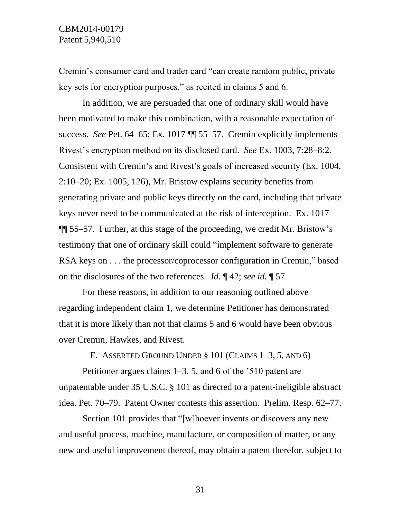Cremin's consumer card and trader card "can create random public, private key sets for encryption purposes," as recited in claims 5 and 6.

In addition, we are persuaded that one of ordinary skill would have been motivated to make this combination, with a reasonable expectation of success. *See* Pet. 64–65; Ex. 1017 ¶¶ 55–57. Cremin explicitly implements Rivest's encryption method on its disclosed card. *See* Ex. 1003, 7:28–8:2. Consistent with Cremin's and Rivest's goals of increased security (Ex. 1004, 2:10–20; Ex. 1005, 126), Mr. Bristow explains security benefits from generating private and public keys directly on the card, including that private keys never need to be communicated at the risk of interception. Ex. 1017 ¶¶ 55–57. Further, at this stage of the proceeding, we credit Mr. Bristow's testimony that one of ordinary skill could "implement software to generate RSA keys on . . . the processor/coprocessor configuration in Cremin," based on the disclosures of the two references. *Id.* ¶ 42; *see id.* ¶ 57.

For these reasons, in addition to our reasoning outlined above regarding independent claim 1, we determine Petitioner has demonstrated that it is more likely than not that claims 5 and 6 would have been obvious over Cremin, Hawkes, and Rivest.

F. ASSERTED GROUND UNDER § 101 (CLAIMS 1–3, 5, AND 6)

Petitioner argues claims 1–3, 5, and 6 of the '510 patent are unpatentable under 35 U.S.C. § 101 as directed to a patent-ineligible abstract idea. Pet. 70–79. Patent Owner contests this assertion. Prelim. Resp. 62–77.

Section 101 provides that "[w]hoever invents or discovers any new and useful process, machine, manufacture, or composition of matter, or any new and useful improvement thereof, may obtain a patent therefor, subject to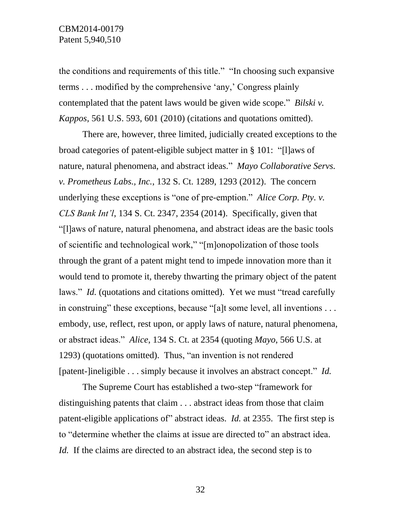the conditions and requirements of this title." "In choosing such expansive terms . . . modified by the comprehensive 'any,' Congress plainly contemplated that the patent laws would be given wide scope." *Bilski v. Kappos*, 561 U.S. 593, 601 (2010) (citations and quotations omitted).

There are, however, three limited, judicially created exceptions to the broad categories of patent-eligible subject matter in § 101: "[l]aws of nature, natural phenomena, and abstract ideas." *Mayo Collaborative Servs. v. Prometheus Labs., Inc.*, 132 S. Ct. 1289, 1293 (2012). The concern underlying these exceptions is "one of pre-emption." *Alice Corp. Pty. v. CLS Bank Int'l*, 134 S. Ct. 2347, 2354 (2014). Specifically, given that "[l]aws of nature, natural phenomena, and abstract ideas are the basic tools of scientific and technological work," "[m]onopolization of those tools through the grant of a patent might tend to impede innovation more than it would tend to promote it, thereby thwarting the primary object of the patent laws." *Id.* (quotations and citations omitted). Yet we must "tread carefully in construing" these exceptions, because "[a]t some level, all inventions . . . embody, use, reflect, rest upon, or apply laws of nature, natural phenomena, or abstract ideas." *Alice*, 134 S. Ct. at 2354 (quoting *Mayo*, 566 U.S. at 1293) (quotations omitted). Thus, "an invention is not rendered [patent-]ineligible . . . simply because it involves an abstract concept." *Id.*

The Supreme Court has established a two-step "framework for distinguishing patents that claim . . . abstract ideas from those that claim patent-eligible applications of" abstract ideas. *Id.* at 2355. The first step is to "determine whether the claims at issue are directed to" an abstract idea. *Id.* If the claims are directed to an abstract idea, the second step is to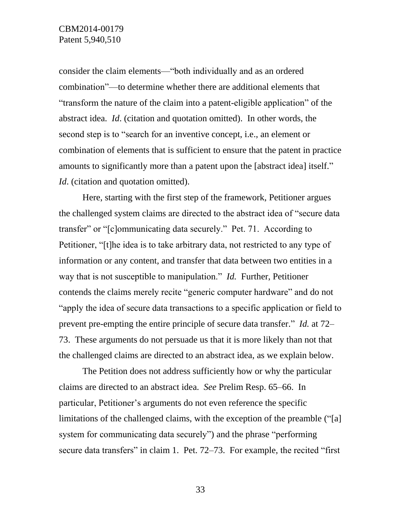consider the claim elements—"both individually and as an ordered combination"—to determine whether there are additional elements that "transform the nature of the claim into a patent-eligible application" of the abstract idea. *Id*. (citation and quotation omitted). In other words, the second step is to "search for an inventive concept, i.e., an element or combination of elements that is sufficient to ensure that the patent in practice amounts to significantly more than a patent upon the [abstract idea] itself." *Id.* (citation and quotation omitted).

Here, starting with the first step of the framework, Petitioner argues the challenged system claims are directed to the abstract idea of "secure data transfer" or "[c]ommunicating data securely." Pet. 71. According to Petitioner, "[t]he idea is to take arbitrary data, not restricted to any type of information or any content, and transfer that data between two entities in a way that is not susceptible to manipulation." *Id.* Further, Petitioner contends the claims merely recite "generic computer hardware" and do not "apply the idea of secure data transactions to a specific application or field to prevent pre-empting the entire principle of secure data transfer." *Id.* at 72– 73. These arguments do not persuade us that it is more likely than not that the challenged claims are directed to an abstract idea, as we explain below.

The Petition does not address sufficiently how or why the particular claims are directed to an abstract idea. *See* Prelim Resp. 65–66. In particular, Petitioner's arguments do not even reference the specific limitations of the challenged claims, with the exception of the preamble ("[a] system for communicating data securely") and the phrase "performing secure data transfers" in claim 1. Pet. 72–73. For example, the recited "first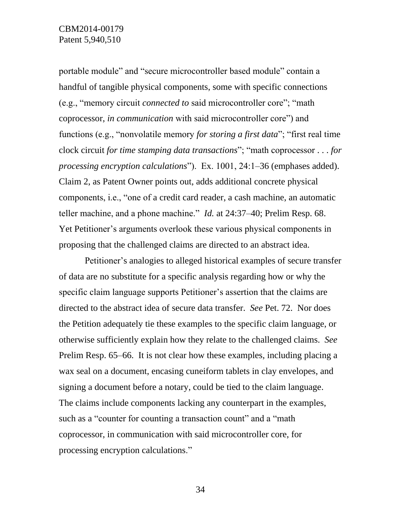## CBM2014-00179 Patent 5,940,510

portable module" and "secure microcontroller based module" contain a handful of tangible physical components, some with specific connections (e.g., "memory circuit *connected to* said microcontroller core"; "math coprocessor, *in communication* with said microcontroller core") and functions (e.g., "nonvolatile memory *for storing a first data*"; "first real time clock circuit *for time stamping data transactions*"; "math coprocessor . . . *for processing encryption calculations*"). Ex. 1001, 24:1–36 (emphases added). Claim 2, as Patent Owner points out, adds additional concrete physical components, i.e., "one of a credit card reader, a cash machine, an automatic teller machine, and a phone machine." *Id.* at 24:37–40; Prelim Resp. 68. Yet Petitioner's arguments overlook these various physical components in proposing that the challenged claims are directed to an abstract idea.

Petitioner's analogies to alleged historical examples of secure transfer of data are no substitute for a specific analysis regarding how or why the specific claim language supports Petitioner's assertion that the claims are directed to the abstract idea of secure data transfer. *See* Pet. 72. Nor does the Petition adequately tie these examples to the specific claim language, or otherwise sufficiently explain how they relate to the challenged claims. *See*  Prelim Resp. 65–66. It is not clear how these examples, including placing a wax seal on a document, encasing cuneiform tablets in clay envelopes, and signing a document before a notary, could be tied to the claim language. The claims include components lacking any counterpart in the examples, such as a "counter for counting a transaction count" and a "math" coprocessor, in communication with said microcontroller core, for processing encryption calculations."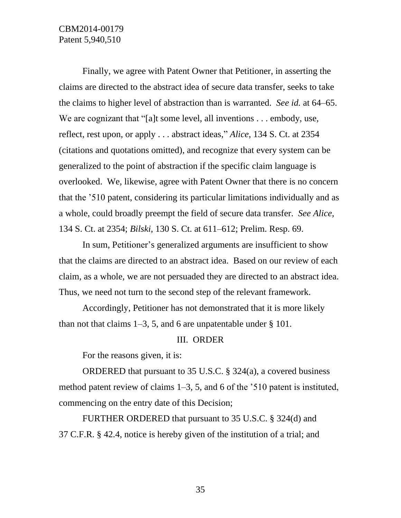# CBM2014-00179 Patent 5,940,510

Finally, we agree with Patent Owner that Petitioner, in asserting the claims are directed to the abstract idea of secure data transfer, seeks to take the claims to higher level of abstraction than is warranted. *See id.* at 64–65. We are cognizant that "[a]t some level, all inventions . . . embody, use, reflect, rest upon, or apply . . . abstract ideas," *Alice*, 134 S. Ct. at 2354 (citations and quotations omitted), and recognize that every system can be generalized to the point of abstraction if the specific claim language is overlooked. We, likewise, agree with Patent Owner that there is no concern that the '510 patent, considering its particular limitations individually and as a whole, could broadly preempt the field of secure data transfer. *See Alice*, 134 S. Ct. at 2354; *Bilski*, 130 S. Ct. at 611–612; Prelim. Resp. 69.

In sum, Petitioner's generalized arguments are insufficient to show that the claims are directed to an abstract idea. Based on our review of each claim, as a whole, we are not persuaded they are directed to an abstract idea. Thus, we need not turn to the second step of the relevant framework.

Accordingly, Petitioner has not demonstrated that it is more likely than not that claims  $1-3$ , 5, and 6 are unpatentable under  $\S$  101.

## III. ORDER

For the reasons given, it is:

ORDERED that pursuant to 35 U.S.C. § 324(a), a covered business method patent review of claims 1–3, 5, and 6 of the '510 patent is instituted, commencing on the entry date of this Decision;

FURTHER ORDERED that pursuant to 35 U.S.C. § 324(d) and 37 C.F.R. § 42.4, notice is hereby given of the institution of a trial; and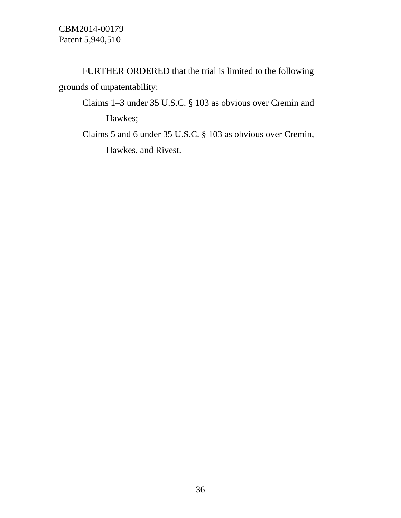FURTHER ORDERED that the trial is limited to the following grounds of unpatentability:

- Claims 1–3 under 35 U.S.C. § 103 as obvious over Cremin and Hawkes;
- Claims 5 and 6 under 35 U.S.C. § 103 as obvious over Cremin, Hawkes, and Rivest.